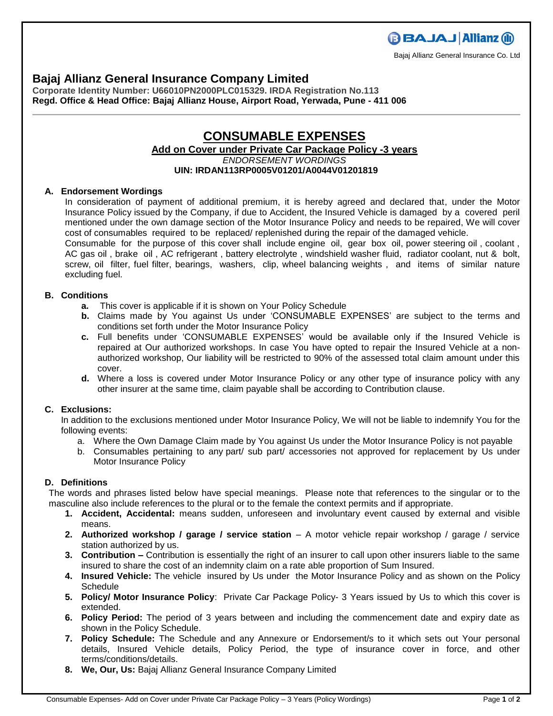# **Bajaj Allianz General Insurance Company Limited**

**Corporate Identity Number: U66010PN2000PLC015329. IRDA Registration No.113 Regd. Office & Head Office: Bajaj Allianz House, Airport Road, Yerwada, Pune - 411 006**

# **CONSUMABLE EXPENSES Add on Cover under Private Car Package Policy -3 years**  *ENDORSEMENT WORDINGS* **UIN: IRDAN113RP0005V01201/A0044V01201819**

## **A. Endorsement Wordings**

In consideration of payment of additional premium, it is hereby agreed and declared that, under the Motor Insurance Policy issued by the Company, if due to Accident, the Insured Vehicle is damaged by a covered peril mentioned under the own damage section of the Motor Insurance Policy and needs to be repaired, We will cover cost of consumables required to be replaced/ replenished during the repair of the damaged vehicle.

Consumable for the purpose of this cover shall include engine oil, gear box oil, power steering oil , coolant , AC gas oil , brake oil , AC refrigerant , battery electrolyte , windshield washer fluid, radiator coolant, nut & bolt, screw, oil filter, fuel filter, bearings, washers, clip, wheel balancing weights , and items of similar nature excluding fuel.

## **B. Conditions**

- **a.** This cover is applicable if it is shown on Your Policy Schedule
- **b.** Claims made by You against Us under 'CONSUMABLE EXPENSES' are subject to the terms and conditions set forth under the Motor Insurance Policy
- **c.** Full benefits under 'CONSUMABLE EXPENSES' would be available only if the Insured Vehicle is repaired at Our authorized workshops. In case You have opted to repair the Insured Vehicle at a nonauthorized workshop, Our liability will be restricted to 90% of the assessed total claim amount under this cover.
- **d.** Where a loss is covered under Motor Insurance Policy or any other type of insurance policy with any other insurer at the same time, claim payable shall be according to Contribution clause.

#### **C. Exclusions:**

In addition to the exclusions mentioned under Motor Insurance Policy, We will not be liable to indemnify You for the following events:

- a. Where the Own Damage Claim made by You against Us under the Motor Insurance Policy is not payable
- b. Consumables pertaining to any part/ sub part/ accessories not approved for replacement by Us under Motor Insurance Policy

## **D. Definitions**

The words and phrases listed below have special meanings. Please note that references to the singular or to the masculine also include references to the plural or to the female the context permits and if appropriate.

- **1. Accident, Accidental:** means sudden, unforeseen and involuntary event caused by external and visible means.
- **2. Authorized workshop / garage / service station** A motor vehicle repair workshop / garage / service station authorized by us.
- **3. Contribution –** Contribution is essentially the right of an insurer to call upon other insurers liable to the same insured to share the cost of an indemnity claim on a rate able proportion of Sum Insured.
- **4. Insured Vehicle:** The vehicle insured by Us under the Motor Insurance Policy and as shown on the Policy **Schedule**
- **5. Policy/ Motor Insurance Policy**: Private Car Package Policy- 3 Years issued by Us to which this cover is extended.
- **6. Policy Period:** The period of 3 years between and including the commencement date and expiry date as shown in the Policy Schedule.
- **7. Policy Schedule:** The Schedule and any Annexure or Endorsement/s to it which sets out Your personal details, Insured Vehicle details, Policy Period, the type of insurance cover in force, and other terms/conditions/details.
- **8. We, Our, Us:** Bajaj Allianz General Insurance Company Limited